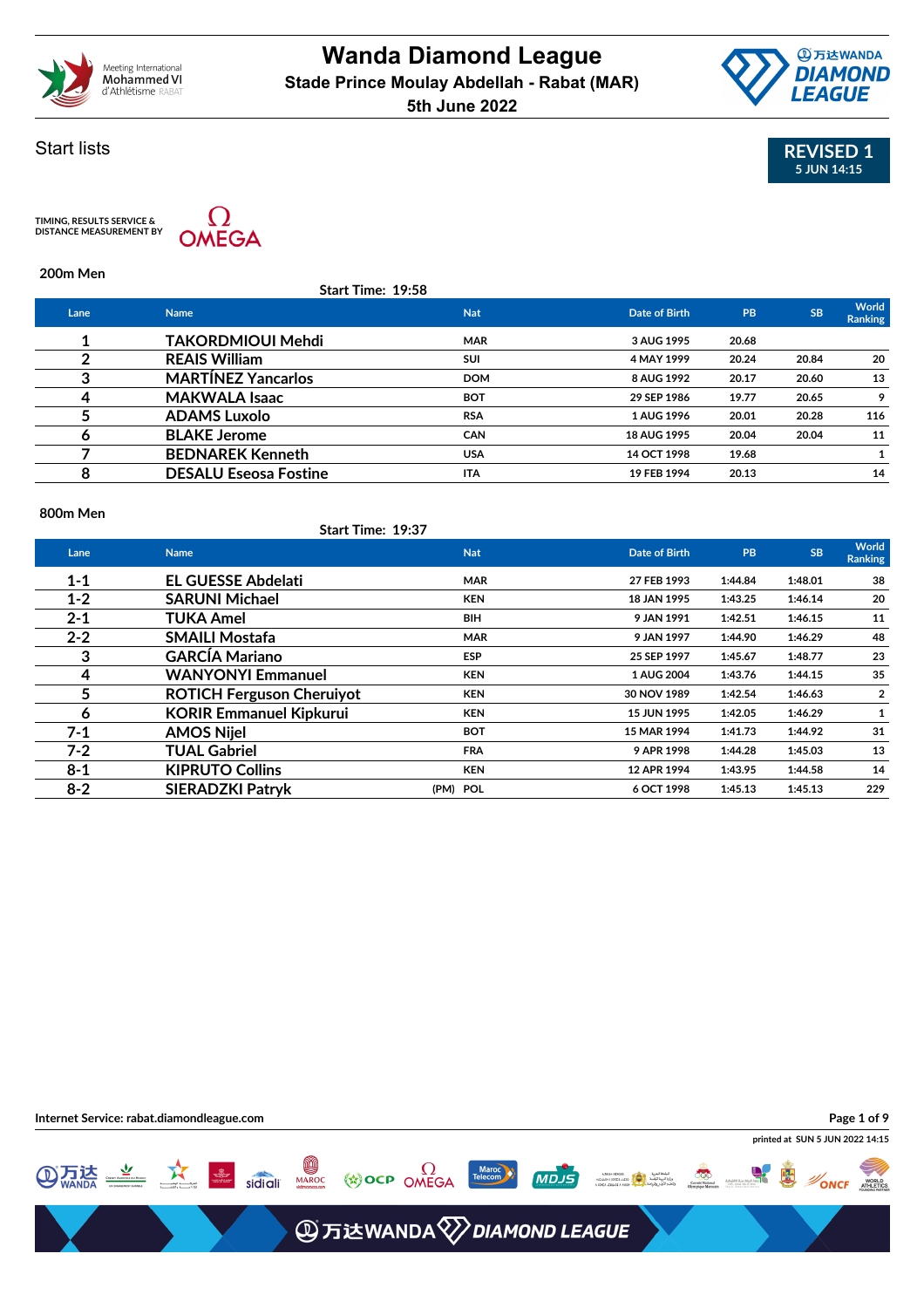



### Start lists

TIMING, RESULTS SERVICE &<br>DISTANCE MEASUREMENT BY



**200m Men**

|      | <b>Start Time: 19:58</b>     |            |               |           |           |                  |
|------|------------------------------|------------|---------------|-----------|-----------|------------------|
| Lane | <b>Name</b>                  | <b>Nat</b> | Date of Birth | <b>PB</b> | <b>SB</b> | World<br>Ranking |
|      | <b>TAKORDMIOUI Mehdi</b>     | <b>MAR</b> | 3 AUG 1995    | 20.68     |           |                  |
|      | <b>REAIS William</b>         | <b>SUI</b> | 4 MAY 1999    | 20.24     | 20.84     | 20               |
| 3    | <b>MARTINEZ Yancarlos</b>    | <b>DOM</b> | 8 AUG 1992    | 20.17     | 20.60     | 13               |
|      | <b>MAKWALA Isaac</b>         | <b>BOT</b> | 29 SEP 1986   | 19.77     | 20.65     | 9                |
|      | <b>ADAMS Luxolo</b>          | <b>RSA</b> | 1 AUG 1996    | 20.01     | 20.28     | 116              |
| O    | <b>BLAKE Jerome</b>          | <b>CAN</b> | 18 AUG 1995   | 20.04     | 20.04     | 11               |
|      | <b>BEDNAREK Kenneth</b>      | <b>USA</b> | 14 OCT 1998   | 19.68     |           |                  |
| 8    | <b>DESALU Eseosa Fostine</b> | <b>ITA</b> | 19 FEB 1994   | 20.13     |           | 14               |
|      |                              |            |               |           |           |                  |

### **800m Men**

|         | Start Time: 19:37                |            |                    |         |           |                  |
|---------|----------------------------------|------------|--------------------|---------|-----------|------------------|
| Lane    | <b>Name</b>                      | <b>Nat</b> | Date of Birth      | PB      | <b>SB</b> | World<br>Ranking |
| $1 - 1$ | <b>EL GUESSE Abdelati</b>        | <b>MAR</b> | 27 FEB 1993        | 1:44.84 | 1:48.01   | 38               |
| $1 - 2$ | <b>SARUNI Michael</b>            | <b>KEN</b> | 18 JAN 1995        | 1:43.25 | 1:46.14   | 20               |
| $2 - 1$ | TUKA Amel                        | <b>BIH</b> | 9 JAN 1991         | 1:42.51 | 1:46.15   | 11               |
| $2 - 2$ | <b>SMAILI Mostafa</b>            | <b>MAR</b> | 9 JAN 1997         | 1:44.90 | 1:46.29   | 48               |
| 3       | <b>GARCÍA Mariano</b>            | <b>ESP</b> | 25 SEP 1997        | 1:45.67 | 1:48.77   | 23               |
| 4       | <b>WANYONYI Emmanuel</b>         | <b>KEN</b> | 1 AUG 2004         | 1:43.76 | 1:44.15   | 35               |
| 5       | <b>ROTICH Ferguson Cherulyot</b> | <b>KEN</b> | 30 NOV 1989        | 1:42.54 | 1:46.63   | $\overline{2}$   |
| 6       | <b>KORIR Emmanuel Kipkurui</b>   | <b>KEN</b> | <b>15 JUN 1995</b> | 1:42.05 | 1:46.29   | 1                |
| $7 - 1$ | <b>AMOS Nijel</b>                | <b>BOT</b> | 15 MAR 1994        | 1:41.73 | 1:44.92   | 31               |
| $7 - 2$ | <b>TUAL Gabriel</b>              | <b>FRA</b> | 9 APR 1998         | 1:44.28 | 1:45.03   | 13               |
| $8 - 1$ | <b>KIPRUTO Collins</b>           | <b>KEN</b> | 12 APR 1994        | 1:43.95 | 1:44.58   | 14               |
| $8 - 2$ | <b>SIERADZKI Patryk</b>          | (PM) POL   | 6 OCT 1998         | 1:45.13 | 1:45.13   | 229              |

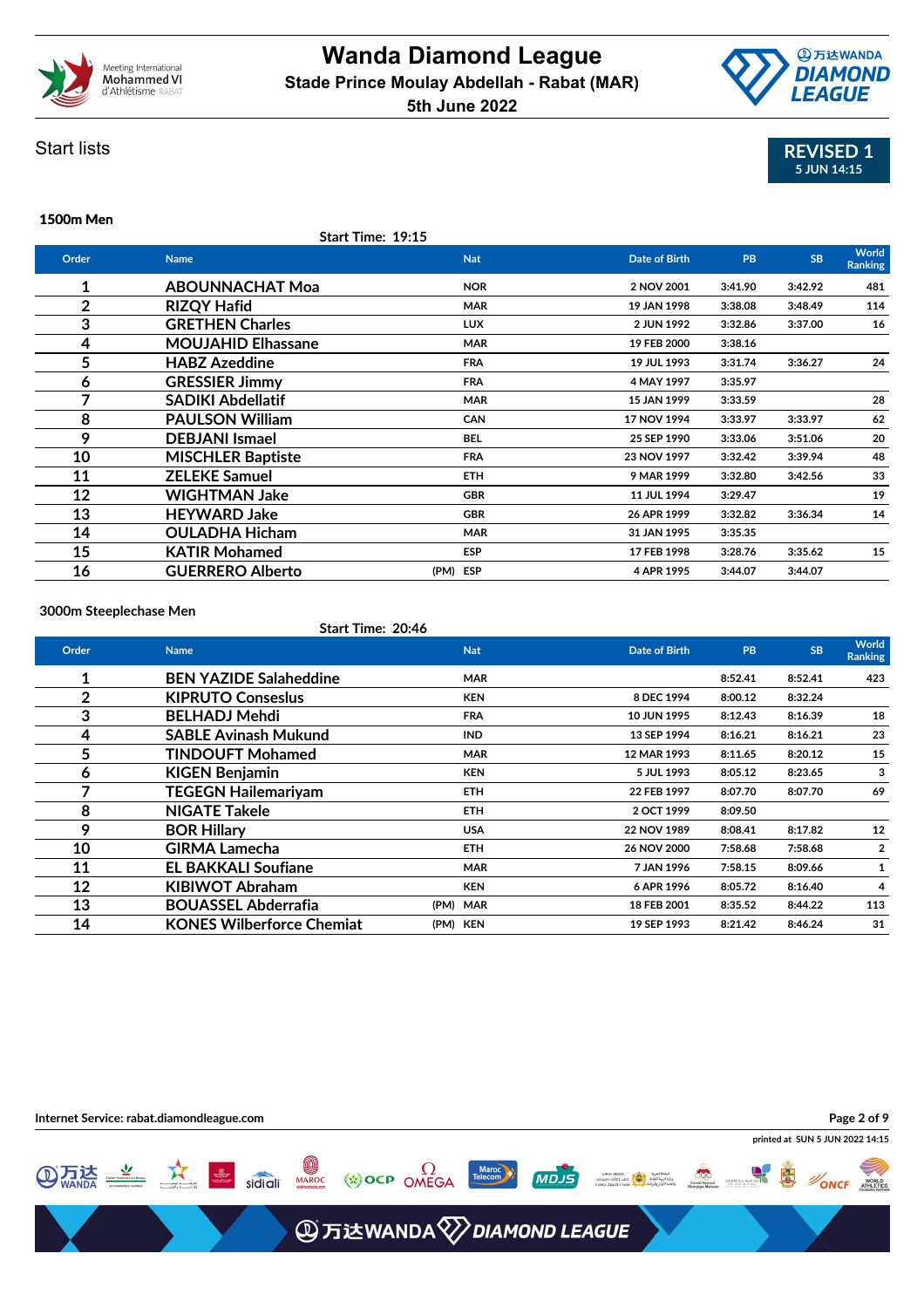



### Start lists

### **1500m Men**

**Start Time: 19:15**

| Order          | <b>Name</b>               | <b>Nat</b> | Date of Birth | <b>PB</b> | <b>SB</b> | World<br><b>Ranking</b> |
|----------------|---------------------------|------------|---------------|-----------|-----------|-------------------------|
| 1              | <b>ABOUNNACHAT Moa</b>    | <b>NOR</b> | 2 NOV 2001    | 3:41.90   | 3:42.92   | 481                     |
| $\overline{2}$ | <b>RIZQY Hafid</b>        | <b>MAR</b> | 19 JAN 1998   | 3:38.08   | 3:48.49   | 114                     |
| 3              | <b>GRETHEN Charles</b>    | <b>LUX</b> | 2 JUN 1992    | 3:32.86   | 3:37.00   | 16                      |
| 4              | <b>MOUJAHID Elhassane</b> | <b>MAR</b> | 19 FEB 2000   | 3:38.16   |           |                         |
| 5              | <b>HABZ Azeddine</b>      | <b>FRA</b> | 19 JUL 1993   | 3:31.74   | 3:36.27   | 24                      |
| 6              | <b>GRESSIER Jimmy</b>     | <b>FRA</b> | 4 MAY 1997    | 3:35.97   |           |                         |
| 7              | <b>SADIKI Abdellatif</b>  | <b>MAR</b> | 15 JAN 1999   | 3:33.59   |           | 28                      |
| 8              | <b>PAULSON William</b>    | <b>CAN</b> | 17 NOV 1994   | 3:33.97   | 3:33.97   | 62                      |
| 9              | <b>DEBJANI Ismael</b>     | <b>BEL</b> | 25 SEP 1990   | 3:33.06   | 3:51.06   | 20                      |
| 10             | <b>MISCHLER Baptiste</b>  | <b>FRA</b> | 23 NOV 1997   | 3:32.42   | 3:39.94   | 48                      |
| 11             | <b>ZELEKE Samuel</b>      | <b>ETH</b> | 9 MAR 1999    | 3:32.80   | 3:42.56   | 33                      |
| 12             | <b>WIGHTMAN Jake</b>      | <b>GBR</b> | 11 JUL 1994   | 3:29.47   |           | 19                      |
| 13             | <b>HEYWARD Jake</b>       | GBR        | 26 APR 1999   | 3:32.82   | 3:36.34   | 14                      |
| 14             | <b>OULADHA Hicham</b>     | <b>MAR</b> | 31 JAN 1995   | 3:35.35   |           |                         |
| 15             | <b>KATIR Mohamed</b>      | <b>ESP</b> | 17 FEB 1998   | 3:28.76   | 3:35.62   | 15                      |
| 16             | <b>GUERRERO Alberto</b>   | (PM) ESP   | 4 APR 1995    | 3:44.07   | 3:44.07   |                         |
|                |                           |            |               |           |           |                         |

**3000m Steeplechase Men**

|  | Start Time: 20:46 |  |
|--|-------------------|--|
|  |                   |  |

| Order | <b>Name</b>                      | <b>Nat</b> | Date of Birth | PB      | <b>SB</b> | <b>World</b><br><b>Ranking</b> |
|-------|----------------------------------|------------|---------------|---------|-----------|--------------------------------|
| 1     | <b>BEN YAZIDE Salaheddine</b>    | <b>MAR</b> |               | 8:52.41 | 8:52.41   | 423                            |
| 2     | <b>KIPRUTO Conseslus</b>         | <b>KEN</b> | 8 DEC 1994    | 8:00.12 | 8:32.24   |                                |
| 3     | <b>BELHADJ Mehdi</b>             | <b>FRA</b> | 10 JUN 1995   | 8:12.43 | 8:16.39   | 18                             |
| 4     | <b>SABLE Avinash Mukund</b>      | <b>IND</b> | 13 SEP 1994   | 8:16.21 | 8:16.21   | 23                             |
| 5     | <b>TINDOUFT Mohamed</b>          | <b>MAR</b> | 12 MAR 1993   | 8:11.65 | 8:20.12   | 15                             |
| 6     | <b>KIGEN Benjamin</b>            | <b>KEN</b> | 5 JUL 1993    | 8:05.12 | 8:23.65   | 3                              |
| 7     | <b>TEGEGN Hailemariyam</b>       | <b>ETH</b> | 22 FEB 1997   | 8:07.70 | 8:07.70   | 69                             |
| 8     | <b>NIGATE Takele</b>             | <b>ETH</b> | 2 OCT 1999    | 8:09.50 |           |                                |
| 9     | <b>BOR Hillary</b>               | <b>USA</b> | 22 NOV 1989   | 8:08.41 | 8:17.82   | 12                             |
| 10    | <b>GIRMA Lamecha</b>             | <b>ETH</b> | 26 NOV 2000   | 7:58.68 | 7:58.68   | $\overline{2}$                 |
| 11    | <b>EL BAKKALI Soufiane</b>       | <b>MAR</b> | 7 JAN 1996    | 7:58.15 | 8:09.66   |                                |
| 12    | <b>KIBIWOT Abraham</b>           | <b>KEN</b> | 6 APR 1996    | 8:05.72 | 8:16.40   | 4                              |
| 13    | <b>BOUASSEL Abderrafia</b>       | (PM) MAR   | 18 FEB 2001   | 8:35.52 | 8:44.22   | 113                            |
| 14    | <b>KONES Wilberforce Chemiat</b> | (PM) KEN   | 19 SEP 1993   | 8:21.42 | 8:46.24   | 31                             |

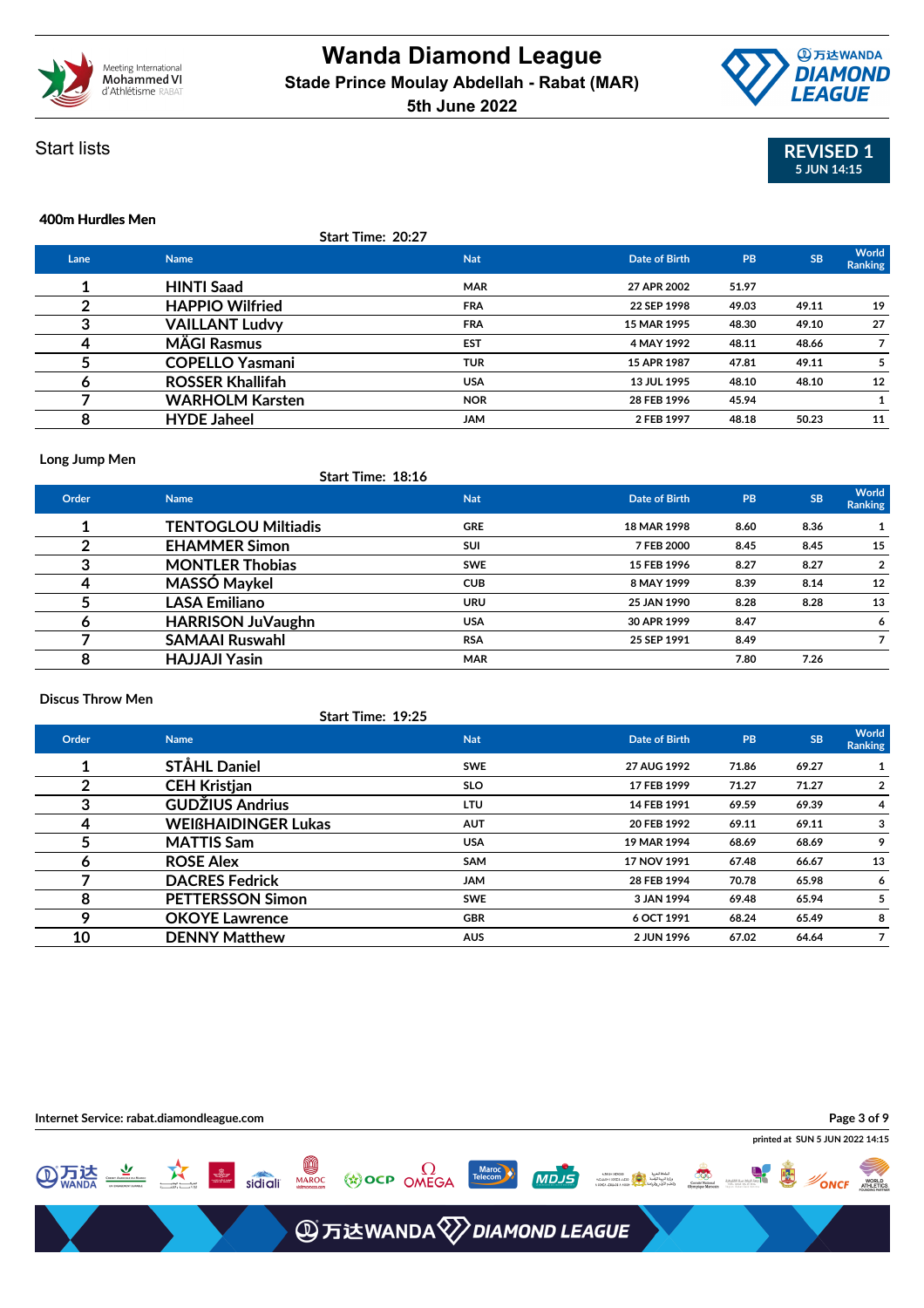





### **400m Hurdles Men**

|      |                         | Start Time: 20:27 |               |           |           |                  |
|------|-------------------------|-------------------|---------------|-----------|-----------|------------------|
| Lane | <b>Name</b>             | <b>Nat</b>        | Date of Birth | <b>PB</b> | <b>SB</b> | World<br>Ranking |
|      | <b>HINTI Saad</b>       | <b>MAR</b>        | 27 APR 2002   | 51.97     |           |                  |
| 2    | <b>HAPPIO Wilfried</b>  | <b>FRA</b>        | 22 SEP 1998   | 49.03     | 49.11     | 19               |
| 3    | <b>VAILLANT Ludvy</b>   | <b>FRA</b>        | 15 MAR 1995   | 48.30     | 49.10     | 27               |
| 4    | <b>MÄGI Rasmus</b>      | <b>EST</b>        | 4 MAY 1992    | 48.11     | 48.66     |                  |
|      | <b>COPELLO Yasmani</b>  | <b>TUR</b>        | 15 APR 1987   | 47.81     | 49.11     |                  |
| 6    | <b>ROSSER Khallifah</b> | <b>USA</b>        | 13 JUL 1995   | 48.10     | 48.10     | 12               |
|      | <b>WARHOLM Karsten</b>  | <b>NOR</b>        | 28 FEB 1996   | 45.94     |           |                  |
| 8    | <b>HYDE Jaheel</b>      | <b>JAM</b>        | 2 FEB 1997    | 48.18     | 50.23     | 11               |
|      |                         |                   |               |           |           |                  |

### **Long Jump Men**

|       | Start Time: 16:10          |            |               |           |           |                  |
|-------|----------------------------|------------|---------------|-----------|-----------|------------------|
| Order | <b>Name</b>                | <b>Nat</b> | Date of Birth | <b>PB</b> | <b>SB</b> | World<br>Ranking |
|       | <b>TENTOGLOU Miltiadis</b> | <b>GRE</b> | 18 MAR 1998   | 8.60      | 8.36      |                  |
|       | <b>EHAMMER Simon</b>       | <b>SUI</b> | 7 FEB 2000    | 8.45      | 8.45      | 15               |
| 3     | <b>MONTLER Thobias</b>     | <b>SWE</b> | 15 FEB 1996   | 8.27      | 8.27      | $\overline{2}$   |
|       | MASSÓ Maykel               | <b>CUB</b> | 8 MAY 1999    | 8.39      | 8.14      | 12               |
|       | <b>LASA Emiliano</b>       | <b>URU</b> | 25 JAN 1990   | 8.28      | 8.28      | 13               |
| О     | <b>HARRISON JuVaughn</b>   | <b>USA</b> | 30 APR 1999   | 8.47      |           | 6                |
|       | <b>SAMAAI Ruswahl</b>      | <b>RSA</b> | 25 SEP 1991   | 8.49      |           |                  |
| 8     | <b>HAJJAJI Yasin</b>       | <b>MAR</b> |               | 7.80      | 7.26      |                  |

**Start Time: 18:16**

**Start Time: 19:25**

### **Discus Throw Men**

|       | Start Time: 19:25          |            |                      |       |           |                         |
|-------|----------------------------|------------|----------------------|-------|-----------|-------------------------|
| Order | <b>Name</b>                | <b>Nat</b> | <b>Date of Birth</b> | PB    | <b>SB</b> | World<br><b>Ranking</b> |
|       | <b>STÅHL Daniel</b>        | <b>SWE</b> | 27 AUG 1992          | 71.86 | 69.27     |                         |
|       | <b>CEH Kristjan</b>        | <b>SLO</b> | 17 FEB 1999          | 71.27 | 71.27     | $\overline{2}$          |
| 3     | <b>GUDŽIUS Andrius</b>     | LTU        | 14 FEB 1991          | 69.59 | 69.39     | 4                       |
| 4     | <b>WEIGHAIDINGER Lukas</b> | <b>AUT</b> | 20 FEB 1992          | 69.11 | 69.11     | 3                       |
| 5     | <b>MATTIS Sam</b>          | <b>USA</b> | 19 MAR 1994          | 68.69 | 68.69     | 9                       |
| 6     | <b>ROSE Alex</b>           | SAM        | 17 NOV 1991          | 67.48 | 66.67     | 13                      |
|       | <b>DACRES Fedrick</b>      | <b>JAM</b> | 28 FEB 1994          | 70.78 | 65.98     | 6                       |
| 8     | <b>PETTERSSON Simon</b>    | <b>SWE</b> | 3 JAN 1994           | 69.48 | 65.94     | 5                       |
| ο     | <b>OKOYE</b> Lawrence      | <b>GBR</b> | 6 OCT 1991           | 68.24 | 65.49     | 8                       |
| 10    | <b>DENNY Matthew</b>       | <b>AUS</b> | 2 JUN 1996           | 67.02 | 64.64     | 7                       |
|       |                            |            |                      |       |           |                         |

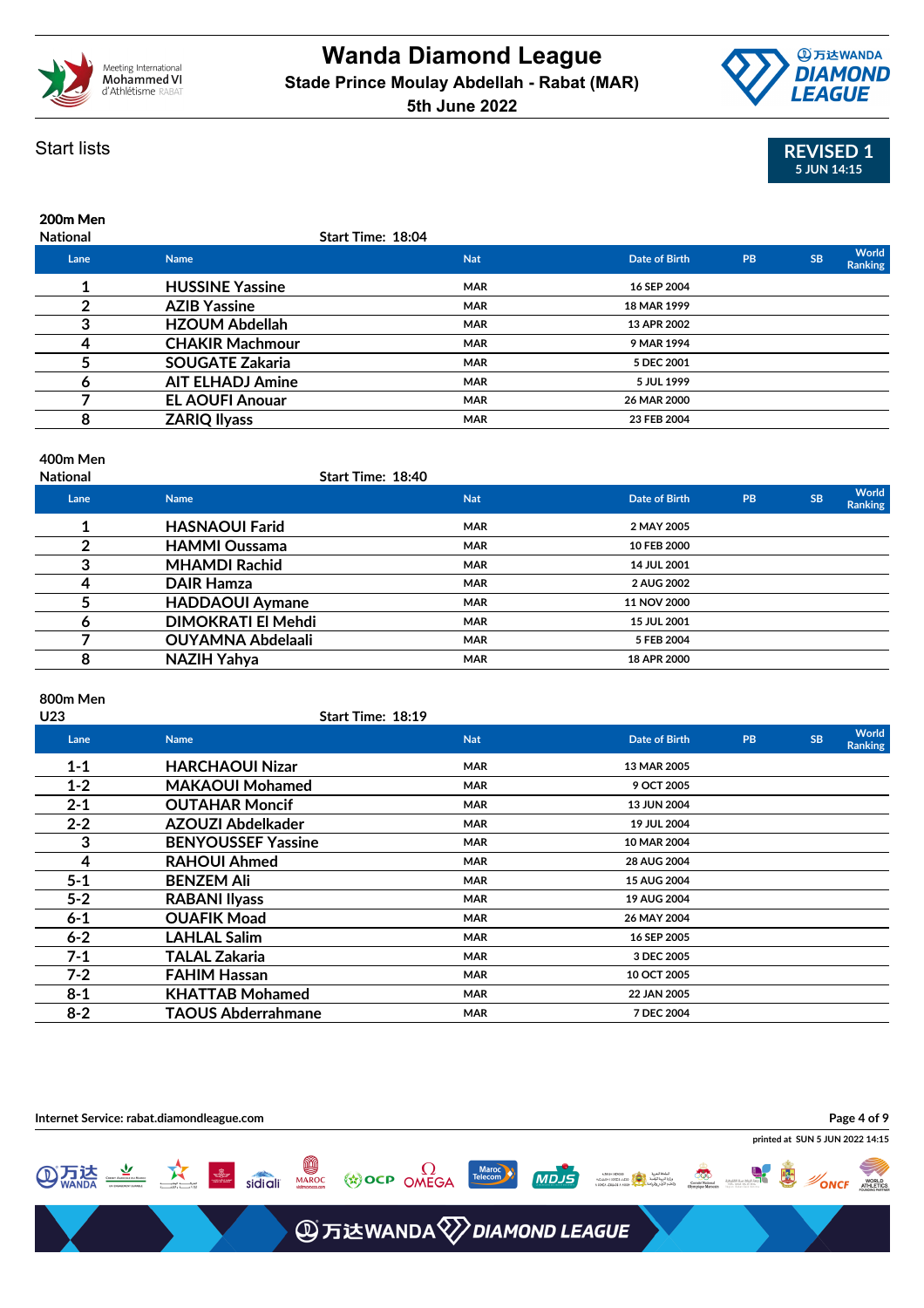



# **REVISED 1 5 JUN 14:15**

| 200m Men |  |
|----------|--|

| <b>National</b> |                         | Start Time: 18:04 |               |    |           |                  |
|-----------------|-------------------------|-------------------|---------------|----|-----------|------------------|
| Lane            | <b>Name</b>             | <b>Nat</b>        | Date of Birth | PB | <b>SB</b> | World<br>Ranking |
|                 | <b>HUSSINE Yassine</b>  | <b>MAR</b>        | 16 SEP 2004   |    |           |                  |
|                 | <b>AZIB Yassine</b>     | <b>MAR</b>        | 18 MAR 1999   |    |           |                  |
| 3               | <b>HZOUM Abdellah</b>   | <b>MAR</b>        | 13 APR 2002   |    |           |                  |
| 4               | <b>CHAKIR Machmour</b>  | <b>MAR</b>        | 9 MAR 1994    |    |           |                  |
|                 | <b>SOUGATE Zakaria</b>  | <b>MAR</b>        | 5 DEC 2001    |    |           |                  |
| O               | <b>AIT ELHADJ Amine</b> | <b>MAR</b>        | 5 JUL 1999    |    |           |                  |
|                 | <b>EL AOUFI Anouar</b>  | <b>MAR</b>        | 26 MAR 2000   |    |           |                  |
| 8               | <b>ZARIQ Ilyass</b>     | <b>MAR</b>        | 23 FEB 2004   |    |           |                  |
|                 |                         |                   |               |    |           |                  |

### **400m Men**

| <b>National</b> | <b>Start Time: 18:40</b>  |            |                    |           |           |                  |
|-----------------|---------------------------|------------|--------------------|-----------|-----------|------------------|
| Lane            | <b>Name</b>               | <b>Nat</b> | Date of Birth      | <b>PB</b> | <b>SB</b> | World<br>Ranking |
|                 | <b>HASNAOUI Farid</b>     | <b>MAR</b> | 2 MAY 2005         |           |           |                  |
|                 | <b>HAMMI Oussama</b>      | <b>MAR</b> | 10 FEB 2000        |           |           |                  |
|                 | <b>MHAMDI Rachid</b>      | <b>MAR</b> | 14 JUL 2001        |           |           |                  |
|                 | <b>DAIR Hamza</b>         | <b>MAR</b> | 2 AUG 2002         |           |           |                  |
|                 | <b>HADDAOUI Aymane</b>    | <b>MAR</b> | 11 NOV 2000        |           |           |                  |
| O               | <b>DIMOKRATI El Mehdi</b> | <b>MAR</b> | <b>15 JUL 2001</b> |           |           |                  |
|                 | <b>OUYAMNA Abdelaali</b>  | <b>MAR</b> | 5 FEB 2004         |           |           |                  |
| 8               | NAZIH Yahya               | <b>MAR</b> | 18 APR 2000        |           |           |                  |

### **800m Men**

| U23     | Start Time: 18:19         |            |                      |    |           |                         |
|---------|---------------------------|------------|----------------------|----|-----------|-------------------------|
| Lane    | <b>Name</b>               | <b>Nat</b> | <b>Date of Birth</b> | PB | <b>SB</b> | World<br><b>Ranking</b> |
| $1 - 1$ | <b>HARCHAOUI Nizar</b>    | <b>MAR</b> | 13 MAR 2005          |    |           |                         |
| $1 - 2$ | <b>MAKAOUI Mohamed</b>    | <b>MAR</b> | 9 OCT 2005           |    |           |                         |
| $2 - 1$ | <b>OUTAHAR Moncif</b>     | <b>MAR</b> | 13 JUN 2004          |    |           |                         |
| $2 - 2$ | AZOUZI Abdelkader         | <b>MAR</b> | 19 JUL 2004          |    |           |                         |
| 3       | <b>BENYOUSSEF Yassine</b> | <b>MAR</b> | 10 MAR 2004          |    |           |                         |
| 4       | <b>RAHOUI Ahmed</b>       | <b>MAR</b> | 28 AUG 2004          |    |           |                         |
| $5 - 1$ | <b>BENZEM Ali</b>         | <b>MAR</b> | 15 AUG 2004          |    |           |                         |
| $5 - 2$ | <b>RABANI Ilyass</b>      | <b>MAR</b> | 19 AUG 2004          |    |           |                         |
| $6 - 1$ | <b>OUAFIK Moad</b>        | <b>MAR</b> | 26 MAY 2004          |    |           |                         |
| $6 - 2$ | <b>LAHLAL Salim</b>       | <b>MAR</b> | 16 SEP 2005          |    |           |                         |
| $7-1$   | TALAL Zakaria             | <b>MAR</b> | 3 DEC 2005           |    |           |                         |
| $7 - 2$ | <b>FAHIM Hassan</b>       | <b>MAR</b> | 10 OCT 2005          |    |           |                         |
| $8 - 1$ | <b>KHATTAB Mohamed</b>    | <b>MAR</b> | 22 JAN 2005          |    |           |                         |
| $8 - 2$ | <b>TAOUS Abderrahmane</b> | <b>MAR</b> | 7 DEC 2004           |    |           |                         |

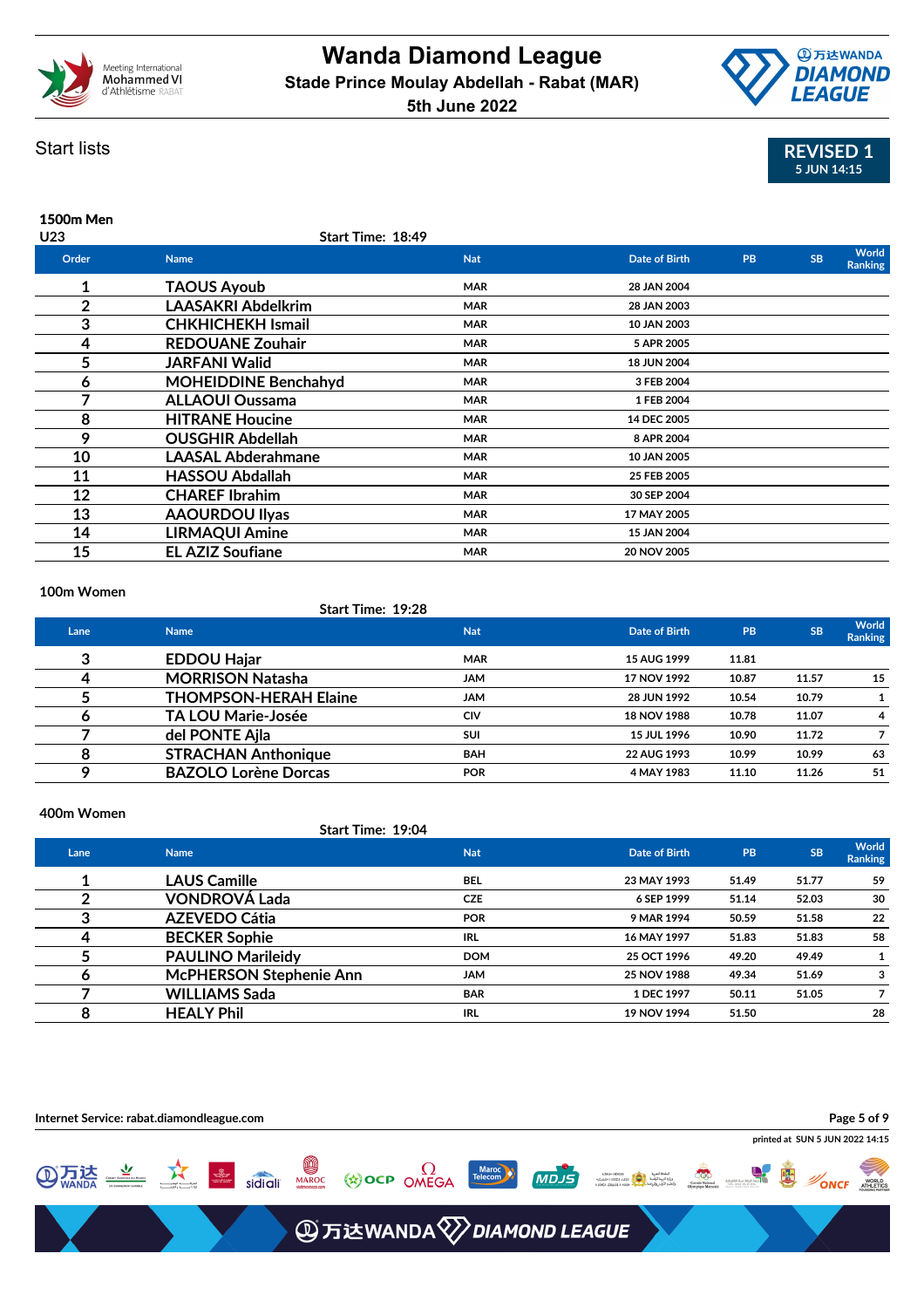



### Start lists

| 1500m Men |                             |            |               |           |           |                         |
|-----------|-----------------------------|------------|---------------|-----------|-----------|-------------------------|
| U23       | Start Time: 18:49           |            |               |           |           |                         |
| Order     | <b>Name</b>                 | <b>Nat</b> | Date of Birth | <b>PB</b> | <b>SB</b> | World<br><b>Ranking</b> |
| 1         | <b>TAOUS Ayoub</b>          | <b>MAR</b> | 28 JAN 2004   |           |           |                         |
| 2         | <b>LAASAKRI Abdelkrim</b>   | <b>MAR</b> | 28 JAN 2003   |           |           |                         |
| 3         | <b>CHKHICHEKH Ismail</b>    | <b>MAR</b> | 10 JAN 2003   |           |           |                         |
| 4         | <b>REDOUANE Zouhair</b>     | <b>MAR</b> | 5 APR 2005    |           |           |                         |
| 5         | <b>JARFANI Walid</b>        | <b>MAR</b> | 18 JUN 2004   |           |           |                         |
| 6         | <b>MOHEIDDINE Benchahyd</b> | <b>MAR</b> | 3 FEB 2004    |           |           |                         |
|           | <b>ALLAOUI Oussama</b>      | <b>MAR</b> | 1 FEB 2004    |           |           |                         |
| 8         | <b>HITRANE Houcine</b>      | <b>MAR</b> | 14 DEC 2005   |           |           |                         |
| 9         | <b>OUSGHIR Abdellah</b>     | <b>MAR</b> | 8 APR 2004    |           |           |                         |
| 10        | <b>LAASAL Abderahmane</b>   | <b>MAR</b> | 10 JAN 2005   |           |           |                         |
| 11        | <b>HASSOU Abdallah</b>      | <b>MAR</b> | 25 FEB 2005   |           |           |                         |
| 12        | <b>CHAREF Ibrahim</b>       | <b>MAR</b> | 30 SEP 2004   |           |           |                         |
| 13        | <b>AAOURDOU Ilyas</b>       | <b>MAR</b> | 17 MAY 2005   |           |           |                         |
| 14        | <b>LIRMAQUI Amine</b>       | <b>MAR</b> | 15 JAN 2004   |           |           |                         |
| 15        | <b>EL AZIZ Soufiane</b>     | <b>MAR</b> | 20 NOV 2005   |           |           |                         |

### **100m Women**

### **Start Time: 19:28**

| Lane | <b>Name</b>                  | <b>Nat</b> | Date of Birth      | <b>PB</b> | <b>SB</b> | <b>World</b><br><b>Ranking</b> |
|------|------------------------------|------------|--------------------|-----------|-----------|--------------------------------|
| 3    | <b>EDDOU Hajar</b>           | <b>MAR</b> | 15 AUG 1999        | 11.81     |           |                                |
|      | <b>MORRISON Natasha</b>      | <b>JAM</b> | 17 NOV 1992        | 10.87     | 11.57     | 15                             |
|      | <b>THOMPSON-HERAH Elaine</b> | <b>JAM</b> | 28 JUN 1992        | 10.54     | 10.79     |                                |
|      | <b>TA LOU Marie-Josée</b>    | CIV        | <b>18 NOV 1988</b> | 10.78     | 11.07     | 4                              |
|      | del PONTE Ajla               | <b>SUI</b> | 15 JUL 1996        | 10.90     | 11.72     |                                |
| 8    | <b>STRACHAN Anthonique</b>   | <b>BAH</b> | 22 AUG 1993        | 10.99     | 10.99     | 63                             |
|      | <b>BAZOLO Lorène Dorcas</b>  | <b>POR</b> | 4 MAY 1983         | 11.10     | 11.26     | 51                             |
|      |                              |            |                    |           |           |                                |

### **400m Women**

### **Start Time: 19:04**

| Lane | <b>Name</b>                    | <b>Nat</b> | Date of Birth | <b>PB</b> | <b>SB</b> | World<br><b>Ranking</b> |
|------|--------------------------------|------------|---------------|-----------|-----------|-------------------------|
|      | <b>LAUS Camille</b>            | <b>BEL</b> | 23 MAY 1993   | 51.49     | 51.77     | 59                      |
|      | <b>VONDROVÁ Lada</b>           | <b>CZE</b> | 6 SEP 1999    | 51.14     | 52.03     | 30                      |
|      | <b>AZEVEDO Cátia</b>           | <b>POR</b> | 9 MAR 1994    | 50.59     | 51.58     | 22                      |
|      | <b>BECKER Sophie</b>           | <b>IRL</b> | 16 MAY 1997   | 51.83     | 51.83     | 58                      |
|      | <b>PAULINO Marileidy</b>       | <b>DOM</b> | 25 OCT 1996   | 49.20     | 49.49     |                         |
|      | <b>McPHERSON Stephenie Ann</b> | <b>JAM</b> | 25 NOV 1988   | 49.34     | 51.69     | 3                       |
|      | <b>WILLIAMS Sada</b>           | <b>BAR</b> | 1 DEC 1997    | 50.11     | 51.05     |                         |
| 8    | <b>HEALY Phil</b>              | IRL.       | 19 NOV 1994   | 51.50     |           | 28                      |
|      |                                |            |               |           |           |                         |

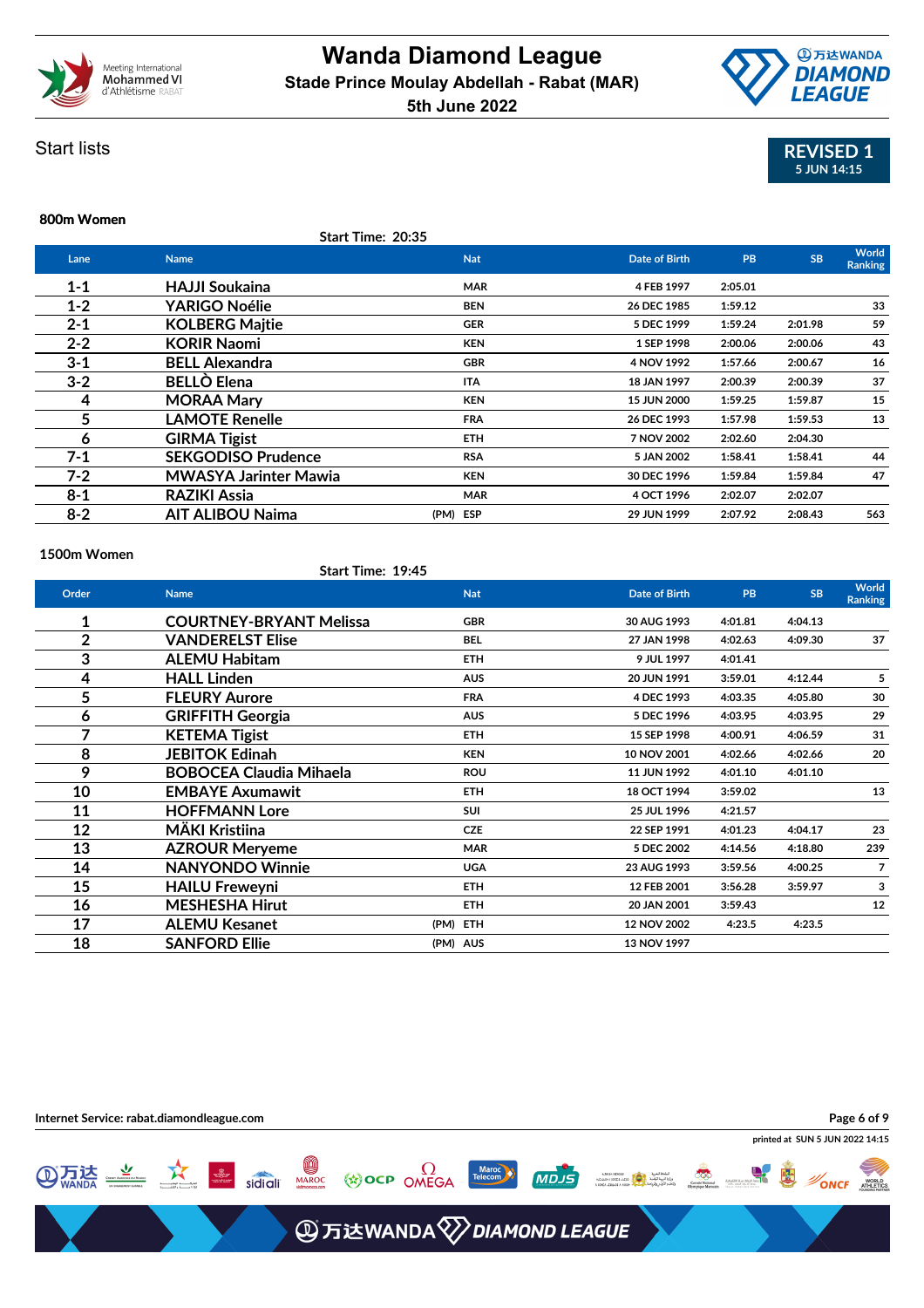



Start lists

## **800m Women**

### **Start Time: 20:35**

| Lane    | <b>Name</b>                  | <b>Nat</b> | <b>Date of Birth</b> | PB      | <b>SB</b> | World<br><b>Ranking</b> |
|---------|------------------------------|------------|----------------------|---------|-----------|-------------------------|
| $1 - 1$ | <b>HAJJI Soukaina</b>        | <b>MAR</b> | 4 FEB 1997           | 2:05.01 |           |                         |
| $1 - 2$ | <b>YARIGO Noélie</b>         | <b>BEN</b> | 26 DEC 1985          | 1:59.12 |           | 33                      |
| $2 - 1$ | <b>KOLBERG Majtie</b>        | <b>GER</b> | 5 DEC 1999           | 1:59.24 | 2:01.98   | 59                      |
| $2 - 2$ | <b>KORIR Naomi</b>           | <b>KEN</b> | 1 SEP 1998           | 2:00.06 | 2:00.06   | 43                      |
| $3 - 1$ | <b>BELL Alexandra</b>        | <b>GBR</b> | 4 NOV 1992           | 1:57.66 | 2:00.67   | 16                      |
| $3 - 2$ | <b>BELLO Elena</b>           | <b>ITA</b> | 18 JAN 1997          | 2:00.39 | 2:00.39   | 37                      |
| 4       | <b>MORAA Mary</b>            | <b>KEN</b> | <b>15 JUN 2000</b>   | 1:59.25 | 1:59.87   | 15                      |
| 5       | <b>LAMOTE Renelle</b>        | <b>FRA</b> | 26 DEC 1993          | 1:57.98 | 1:59.53   | 13                      |
| 6       | <b>GIRMA Tigist</b>          | <b>ETH</b> | 7 NOV 2002           | 2:02.60 | 2:04.30   |                         |
| $7 - 1$ | <b>SEKGODISO Prudence</b>    | <b>RSA</b> | 5 JAN 2002           | 1:58.41 | 1:58.41   | 44                      |
| $7 - 2$ | <b>MWASYA Jarinter Mawia</b> | <b>KEN</b> | 30 DEC 1996          | 1:59.84 | 1:59.84   | 47                      |
| $8 - 1$ | <b>RAZIKI Assia</b>          | <b>MAR</b> | 4 OCT 1996           | 2:02.07 | 2:02.07   |                         |
| $8 - 2$ | <b>AIT ALIBOU Naima</b>      | (PM) ESP   | 29 JUN 1999          | 2:07.92 | 2:08.43   | 563                     |
|         |                              |            |                      |         |           |                         |

### **1500m Women**

### **Start Time: 19:45**

| Order          | <b>Name</b>                    | <b>Nat</b> | <b>Date of Birth</b> | <b>PB</b> | <b>SB</b> | <b>World</b><br><b>Ranking</b> |
|----------------|--------------------------------|------------|----------------------|-----------|-----------|--------------------------------|
| 1              | <b>COURTNEY-BRYANT Melissa</b> | <b>GBR</b> | 30 AUG 1993          | 4:01.81   | 4:04.13   |                                |
| $\overline{2}$ | <b>VANDERELST Elise</b>        | <b>BEL</b> | 27 JAN 1998          | 4:02.63   | 4:09.30   | 37                             |
| 3              | <b>ALEMU Habitam</b>           | <b>ETH</b> | 9 JUL 1997           | 4:01.41   |           |                                |
| 4              | <b>HALL Linden</b>             | <b>AUS</b> | 20 JUN 1991          | 3:59.01   | 4:12.44   | 5                              |
| 5              | <b>FLEURY Aurore</b>           | <b>FRA</b> | 4 DEC 1993           | 4:03.35   | 4:05.80   | 30                             |
| 6              | <b>GRIFFITH Georgia</b>        | <b>AUS</b> | 5 DEC 1996           | 4:03.95   | 4:03.95   | 29                             |
| 7              | <b>KETEMA Tigist</b>           | <b>ETH</b> | 15 SEP 1998          | 4:00.91   | 4:06.59   | 31                             |
| 8              | <b>JEBITOK Edinah</b>          | <b>KEN</b> | 10 NOV 2001          | 4:02.66   | 4:02.66   | 20                             |
| 9              | <b>BOBOCEA Claudia Mihaela</b> | <b>ROU</b> | 11 JUN 1992          | 4:01.10   | 4:01.10   |                                |
| 10             | <b>EMBAYE Axumawit</b>         | <b>ETH</b> | 18 OCT 1994          | 3:59.02   |           | 13                             |
| 11             | <b>HOFFMANN Lore</b>           | <b>SUI</b> | 25 JUL 1996          | 4:21.57   |           |                                |
| 12             | MÄKI Kristiina                 | <b>CZE</b> | 22 SEP 1991          | 4:01.23   | 4:04.17   | 23                             |
| 13             | <b>AZROUR Meryeme</b>          | <b>MAR</b> | 5 DEC 2002           | 4:14.56   | 4:18.80   | 239                            |
| 14             | <b>NANYONDO Winnie</b>         | <b>UGA</b> | 23 AUG 1993          | 3:59.56   | 4:00.25   | 7                              |
| 15             | <b>HAILU Freweyni</b>          | <b>ETH</b> | 12 FEB 2001          | 3:56.28   | 3:59.97   | 3                              |
| 16             | <b>MESHESHA Hirut</b>          | <b>ETH</b> | 20 JAN 2001          | 3:59.43   |           | 12                             |
| 17             | <b>ALEMU Kesanet</b>           | (PM) ETH   | 12 NOV 2002          | 4:23.5    | 4:23.5    |                                |
| 18             | <b>SANFORD Ellie</b>           | (PM) AUS   | 13 NOV 1997          |           |           |                                |

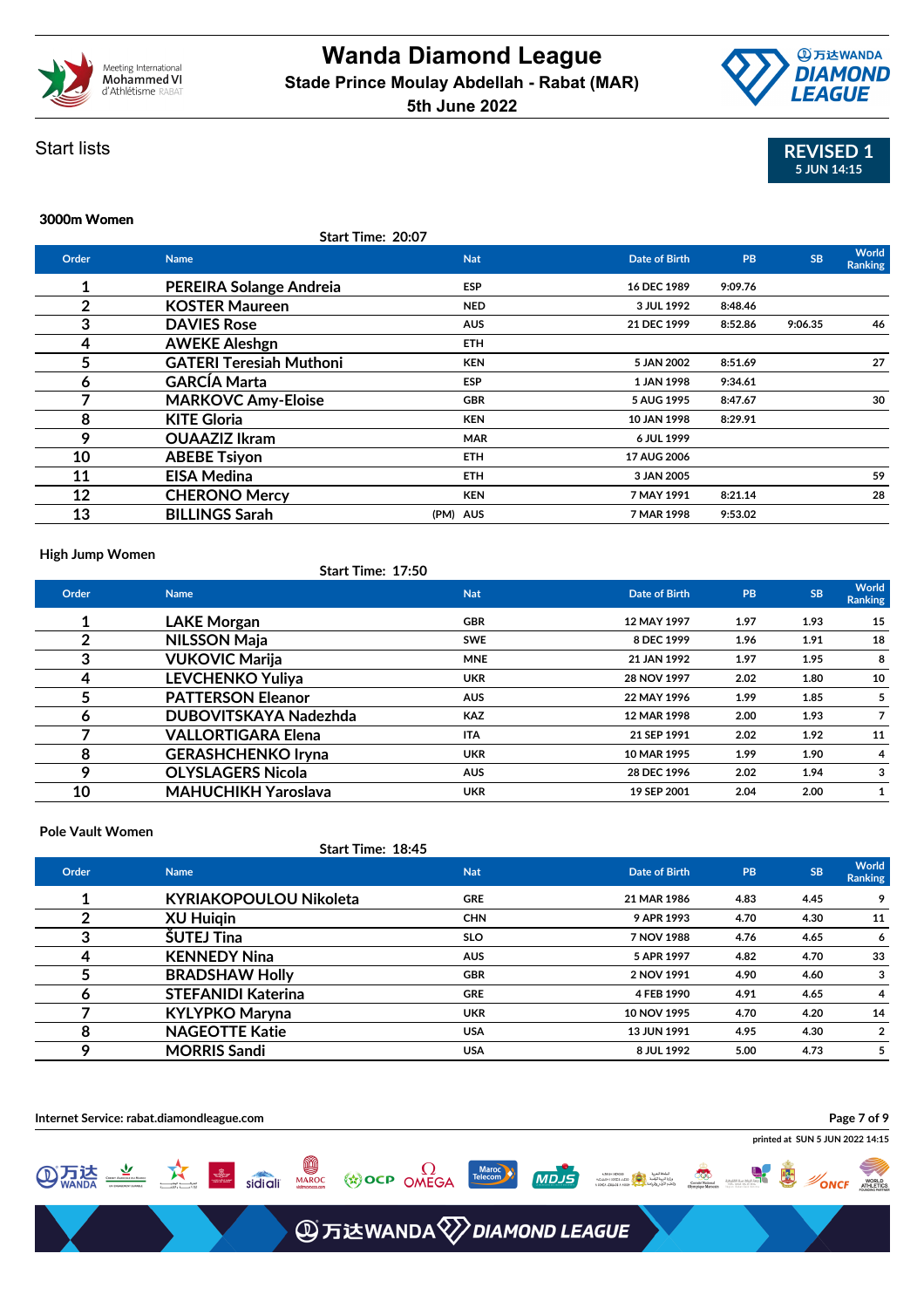



# **3000m Women**



### **Start Time: 20:07**

| Order | <b>Name</b>                    | <b>Nat</b> | <b>Date of Birth</b> | <b>PB</b> | <b>SB</b> | World<br>Ranking |
|-------|--------------------------------|------------|----------------------|-----------|-----------|------------------|
| 1     | <b>PEREIRA Solange Andreia</b> | <b>ESP</b> | 16 DEC 1989          | 9:09.76   |           |                  |
| 2     | <b>KOSTER Maureen</b>          | <b>NED</b> | 3 JUL 1992           | 8:48.46   |           |                  |
| 3     | <b>DAVIES Rose</b>             | <b>AUS</b> | 21 DEC 1999          | 8:52.86   | 9:06.35   | 46               |
| 4     | <b>AWEKE Aleshgn</b>           | ETH.       |                      |           |           |                  |
| 5     | <b>GATERI Teresiah Muthoni</b> | <b>KEN</b> | 5 JAN 2002           | 8:51.69   |           | 27               |
| 6     | <b>GARCÍA Marta</b>            | <b>ESP</b> | 1 JAN 1998           | 9:34.61   |           |                  |
| 7     | <b>MARKOVC Amy-Eloise</b>      | <b>GBR</b> | 5 AUG 1995           | 8:47.67   |           | 30               |
| 8     | <b>KITE Gloria</b>             | <b>KEN</b> | 10 JAN 1998          | 8:29.91   |           |                  |
| 9     | <b>OUAAZIZ Ikram</b>           | <b>MAR</b> | 6 JUL 1999           |           |           |                  |
| 10    | <b>ABEBE Tsiyon</b>            | ETH.       | 17 AUG 2006          |           |           |                  |
| 11    | <b>EISA Medina</b>             | <b>ETH</b> | 3 JAN 2005           |           |           | 59               |
| 12    | <b>CHERONO Mercy</b>           | <b>KEN</b> | 7 MAY 1991           | 8:21.14   |           | 28               |
| 13    | <b>BILLINGS Sarah</b>          | (PM) AUS   | 7 MAR 1998           | 9:53.02   |           |                  |

### **High Jump Women**

### **Start Time: 17:50**

| Order | <b>Name</b>                | <b>Nat</b> | Date of Birth | PB   | <b>SB</b> | World<br>Ranking |
|-------|----------------------------|------------|---------------|------|-----------|------------------|
|       | <b>LAKE Morgan</b>         | <b>GBR</b> | 12 MAY 1997   | 1.97 | 1.93      | 15               |
|       | <b>NILSSON Maja</b>        | <b>SWE</b> | 8 DEC 1999    | 1.96 | 1.91      | 18               |
| 3     | <b>VUKOVIC Marija</b>      | <b>MNE</b> | 21 JAN 1992   | 1.97 | 1.95      | 8                |
| 4     | <b>LEVCHENKO Yuliya</b>    | <b>UKR</b> | 28 NOV 1997   | 2.02 | 1.80      | 10               |
| 5     | <b>PATTERSON Eleanor</b>   | <b>AUS</b> | 22 MAY 1996   | 1.99 | 1.85      | 5                |
| 6     | DUBOVITSKAYA Nadezhda      | <b>KAZ</b> | 12 MAR 1998   | 2.00 | 1.93      | 7                |
|       | <b>VALLORTIGARA Elena</b>  | <b>ITA</b> | 21 SEP 1991   | 2.02 | 1.92      | 11               |
| 8     | <b>GERASHCHENKO Iryna</b>  | <b>UKR</b> | 10 MAR 1995   | 1.99 | 1.90      | 4                |
| Q     | <b>OLYSLAGERS Nicola</b>   | <b>AUS</b> | 28 DEC 1996   | 2.02 | 1.94      | 3                |
| 10    | <b>MAHUCHIKH Yaroslava</b> | <b>UKR</b> | 19 SEP 2001   | 2.04 | 2.00      |                  |

### **Pole Vault Women**

### **Start Time: 18:45**

| Order | <b>Name</b>                   | <b>Nat</b> | Date of Birth | PB   | <b>SB</b> | World<br><b>Ranking</b> |
|-------|-------------------------------|------------|---------------|------|-----------|-------------------------|
|       | <b>KYRIAKOPOULOU Nikoleta</b> | <b>GRE</b> | 21 MAR 1986   | 4.83 | 4.45      |                         |
|       | <b>XU Huigin</b>              | <b>CHN</b> | 9 APR 1993    | 4.70 | 4.30      | 11                      |
| 3     | <b>SUTEJ Tina</b>             | <b>SLO</b> | 7 NOV 1988    | 4.76 | 4.65      | 6                       |
| 4     | <b>KENNEDY Nina</b>           | <b>AUS</b> | 5 APR 1997    | 4.82 | 4.70      | 33                      |
|       | <b>BRADSHAW Holly</b>         | <b>GBR</b> | 2 NOV 1991    | 4.90 | 4.60      | 3                       |
|       | <b>STEFANIDI Katerina</b>     | <b>GRE</b> | 4 FEB 1990    | 4.91 | 4.65      | 4                       |
|       | <b>KYLYPKO Maryna</b>         | <b>UKR</b> | 10 NOV 1995   | 4.70 | 4.20      | 14                      |
| 8     | <b>NAGEOTTE Katie</b>         | <b>USA</b> | 13 JUN 1991   | 4.95 | 4.30      | 2                       |
| Q     | <b>MORRIS Sandi</b>           | <b>USA</b> | 8 JUL 1992    | 5.00 | 4.73      |                         |

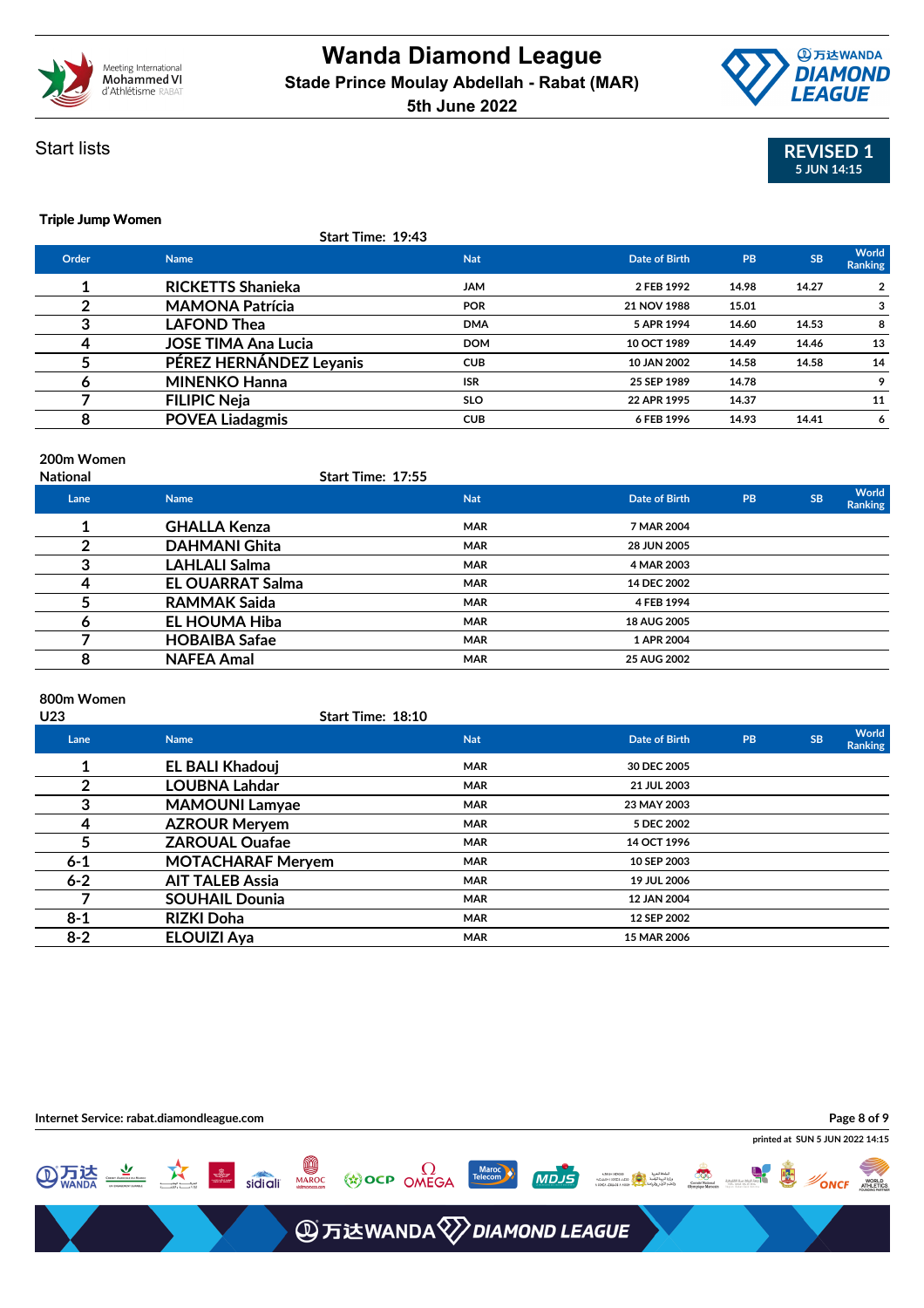





### **Triple Jump Women**

|       | Start Time: 19:43          |            |               |       |           |                         |
|-------|----------------------------|------------|---------------|-------|-----------|-------------------------|
| Order | <b>Name</b>                | <b>Nat</b> | Date of Birth | PB    | <b>SB</b> | World<br><b>Ranking</b> |
|       | <b>RICKETTS Shanieka</b>   | <b>JAM</b> | 2 FEB 1992    | 14.98 | 14.27     | 2                       |
| 2     | <b>MAMONA Patrícia</b>     | <b>POR</b> | 21 NOV 1988   | 15.01 |           |                         |
| 3     | <b>LAFOND Thea</b>         | <b>DMA</b> | 5 APR 1994    | 14.60 | 14.53     | 8                       |
| 4     | <b>JOSE TIMA Ana Lucia</b> | <b>DOM</b> | 10 OCT 1989   | 14.49 | 14.46     | 13                      |
|       | PÉREZ HERNÁNDEZ Leyanis    | <b>CUB</b> | 10 JAN 2002   | 14.58 | 14.58     | 14                      |
| 6     | <b>MINENKO Hanna</b>       | <b>ISR</b> | 25 SEP 1989   | 14.78 |           |                         |
|       | <b>FILIPIC Neja</b>        | <b>SLO</b> | 22 APR 1995   | 14.37 |           | 11                      |
| 8     | <b>POVEA Liadagmis</b>     | <b>CUB</b> | 6 FEB 1996    | 14.93 | 14.41     | 6                       |

### **200m Women**

| <b>National</b> |                         | <b>Start Time: 17:55</b> |               |    |           |                  |
|-----------------|-------------------------|--------------------------|---------------|----|-----------|------------------|
| Lane            | <b>Name</b>             | <b>Nat</b>               | Date of Birth | PB | <b>SB</b> | World<br>Ranking |
|                 | <b>GHALLA Kenza</b>     | <b>MAR</b>               | 7 MAR 2004    |    |           |                  |
|                 | <b>DAHMANI Ghita</b>    | <b>MAR</b>               | 28 JUN 2005   |    |           |                  |
|                 | <b>LAHLALI Salma</b>    | <b>MAR</b>               | 4 MAR 2003    |    |           |                  |
|                 | <b>EL OUARRAT Salma</b> | <b>MAR</b>               | 14 DEC 2002   |    |           |                  |
|                 | <b>RAMMAK Saida</b>     | <b>MAR</b>               | 4 FEB 1994    |    |           |                  |
| o               | EL HOUMA Hiba           | <b>MAR</b>               | 18 AUG 2005   |    |           |                  |
|                 | <b>HOBAIBA Safae</b>    | <b>MAR</b>               | 1 APR 2004    |    |           |                  |
| 8               | <b>NAFEA Amal</b>       | <b>MAR</b>               | 25 AUG 2002   |    |           |                  |

### **800m Women**

| U23 |         |                          | <b>Start Time: 18:10</b> |                      |    |           |                  |
|-----|---------|--------------------------|--------------------------|----------------------|----|-----------|------------------|
|     | Lane    | <b>Name</b>              | <b>Nat</b>               | <b>Date of Birth</b> | PB | <b>SB</b> | World<br>Ranking |
|     | 1       | <b>EL BALI Khadouj</b>   | <b>MAR</b>               | 30 DEC 2005          |    |           |                  |
|     | າ       | <b>LOUBNA Lahdar</b>     | <b>MAR</b>               | 21 JUL 2003          |    |           |                  |
|     | 3       | <b>MAMOUNI Lamyae</b>    | <b>MAR</b>               | 23 MAY 2003          |    |           |                  |
|     | 4       | <b>AZROUR Meryem</b>     | <b>MAR</b>               | 5 DEC 2002           |    |           |                  |
|     | 5       | <b>ZAROUAL Ouafae</b>    | <b>MAR</b>               | 14 OCT 1996          |    |           |                  |
|     | $6 - 1$ | <b>MOTACHARAF Meryem</b> | <b>MAR</b>               | 10 SEP 2003          |    |           |                  |
|     | $6 - 2$ | <b>AIT TALEB Assia</b>   | <b>MAR</b>               | 19 JUL 2006          |    |           |                  |
|     |         | <b>SOUHAIL Dounia</b>    | <b>MAR</b>               | 12 JAN 2004          |    |           |                  |
|     | $8 - 1$ | <b>RIZKI Doha</b>        | <b>MAR</b>               | 12 SEP 2002          |    |           |                  |
|     | $8 - 2$ | <b>ELOUIZI Aya</b>       | <b>MAR</b>               | 15 MAR 2006          |    |           |                  |
|     |         |                          |                          |                      |    |           |                  |